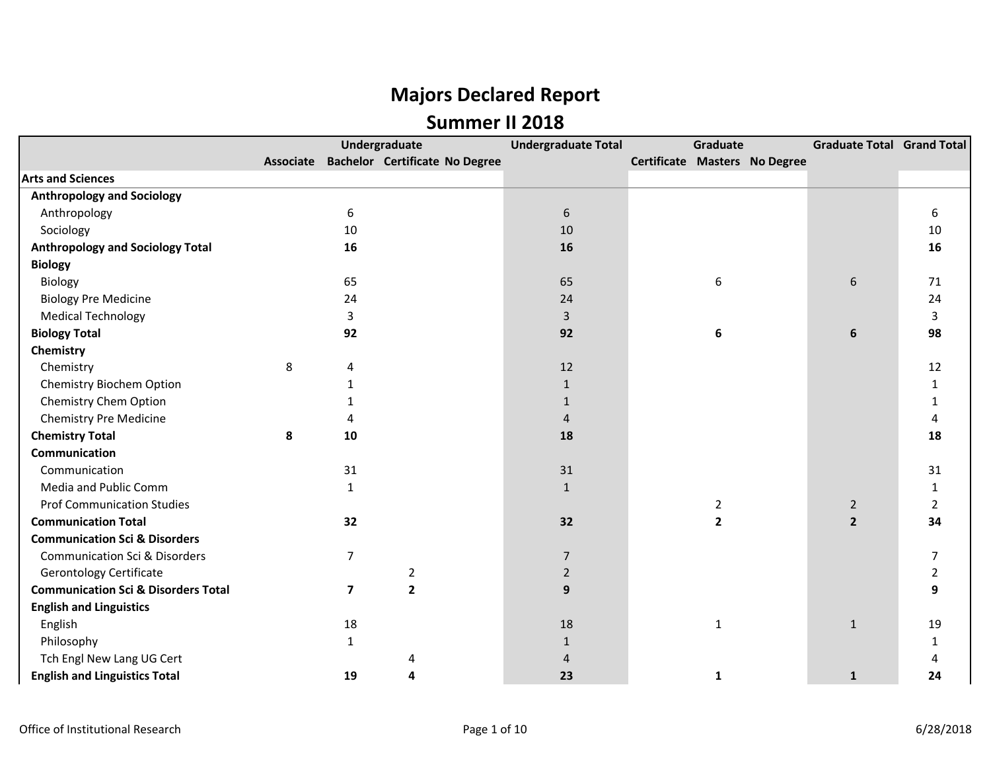|                                                |   |                         | Undergraduate                            | <b>Undergraduate Total</b> | Graduate                      | <b>Graduate Total Grand Total</b> |                |
|------------------------------------------------|---|-------------------------|------------------------------------------|----------------------------|-------------------------------|-----------------------------------|----------------|
|                                                |   |                         | Associate Bachelor Certificate No Degree |                            | Certificate Masters No Degree |                                   |                |
| <b>Arts and Sciences</b>                       |   |                         |                                          |                            |                               |                                   |                |
| <b>Anthropology and Sociology</b>              |   |                         |                                          |                            |                               |                                   |                |
| Anthropology                                   |   | 6                       |                                          | $6\,$                      |                               |                                   | 6              |
| Sociology                                      |   | 10                      |                                          | 10                         |                               |                                   | 10             |
| <b>Anthropology and Sociology Total</b>        |   | 16                      |                                          | 16                         |                               |                                   | 16             |
| <b>Biology</b>                                 |   |                         |                                          |                            |                               |                                   |                |
| Biology                                        |   | 65                      |                                          | 65                         | 6                             | 6                                 | 71             |
| <b>Biology Pre Medicine</b>                    |   | 24                      |                                          | 24                         |                               |                                   | 24             |
| <b>Medical Technology</b>                      |   | $\overline{3}$          |                                          | $\overline{3}$             |                               |                                   | 3              |
| <b>Biology Total</b>                           |   | 92                      |                                          | 92                         | 6                             | 6                                 | 98             |
| Chemistry                                      |   |                         |                                          |                            |                               |                                   |                |
| Chemistry                                      | 8 | Δ                       |                                          | 12                         |                               |                                   | 12             |
| Chemistry Biochem Option                       |   |                         |                                          | $\mathbf{1}$               |                               |                                   | 1              |
| Chemistry Chem Option                          |   |                         |                                          | $\mathbf{1}$               |                               |                                   |                |
| Chemistry Pre Medicine                         |   | $\Delta$                |                                          | $\overline{4}$             |                               |                                   | 4              |
| <b>Chemistry Total</b>                         | 8 | 10                      |                                          | 18                         |                               |                                   | 18             |
| Communication                                  |   |                         |                                          |                            |                               |                                   |                |
| Communication                                  |   | 31                      |                                          | 31                         |                               |                                   | 31             |
| Media and Public Comm                          |   | $\mathbf{1}$            |                                          | $\mathbf{1}$               |                               |                                   | 1              |
| <b>Prof Communication Studies</b>              |   |                         |                                          |                            | 2                             | $\overline{2}$                    | $\overline{2}$ |
| <b>Communication Total</b>                     |   | 32                      |                                          | 32                         | $\mathbf{2}$                  | $\overline{2}$                    | 34             |
| <b>Communication Sci &amp; Disorders</b>       |   |                         |                                          |                            |                               |                                   |                |
| <b>Communication Sci &amp; Disorders</b>       |   | 7                       |                                          | 7                          |                               |                                   | 7              |
| <b>Gerontology Certificate</b>                 |   |                         | $\overline{2}$                           | $\overline{2}$             |                               |                                   | $\overline{2}$ |
| <b>Communication Sci &amp; Disorders Total</b> |   | $\overline{\mathbf{z}}$ | $\overline{2}$                           | 9                          |                               |                                   | 9              |
| <b>English and Linguistics</b>                 |   |                         |                                          |                            |                               |                                   |                |
| English                                        |   | 18                      |                                          | 18                         | 1                             | $\mathbf{1}$                      | 19             |
| Philosophy                                     |   | $\mathbf{1}$            |                                          | $\mathbf{1}$               |                               |                                   |                |
| Tch Engl New Lang UG Cert                      |   |                         | 4                                        | 4                          |                               |                                   |                |
| <b>English and Linguistics Total</b>           |   | 19                      | 4                                        | 23                         | 1                             | $\mathbf{1}$                      | 24             |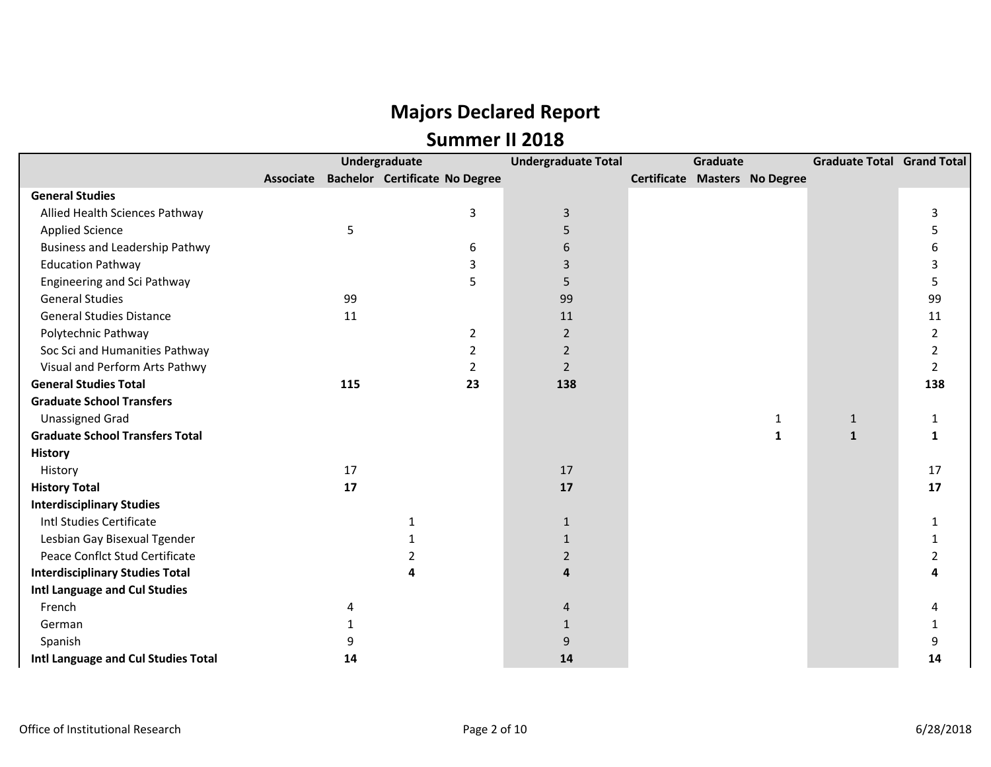|                                        |                  |     | Undergraduate                         | <b>Undergraduate Total</b> | Graduate |                               | <b>Graduate Total Grand Total</b> |                         |
|----------------------------------------|------------------|-----|---------------------------------------|----------------------------|----------|-------------------------------|-----------------------------------|-------------------------|
|                                        | <b>Associate</b> |     | <b>Bachelor Certificate No Degree</b> |                            |          | Certificate Masters No Degree |                                   |                         |
| <b>General Studies</b>                 |                  |     |                                       |                            |          |                               |                                   |                         |
| Allied Health Sciences Pathway         |                  |     | 3                                     | $\mathbf{3}$               |          |                               |                                   | 3                       |
| <b>Applied Science</b>                 |                  | 5   |                                       | 5                          |          |                               |                                   | 5                       |
| <b>Business and Leadership Pathwy</b>  |                  |     | 6                                     | 6                          |          |                               |                                   | 6                       |
| <b>Education Pathway</b>               |                  |     | 3                                     | 3                          |          |                               |                                   | 3                       |
| <b>Engineering and Sci Pathway</b>     |                  |     | 5                                     | 5                          |          |                               |                                   | 5                       |
| <b>General Studies</b>                 |                  | 99  |                                       | 99                         |          |                               |                                   | 99                      |
| <b>General Studies Distance</b>        |                  | 11  |                                       | 11                         |          |                               |                                   | 11                      |
| Polytechnic Pathway                    |                  |     | $\overline{2}$                        | $\overline{2}$             |          |                               |                                   | $\overline{2}$          |
| Soc Sci and Humanities Pathway         |                  |     | 2                                     | $\overline{2}$             |          |                               |                                   | 2                       |
| Visual and Perform Arts Pathwy         |                  |     | 2                                     | $\overline{2}$             |          |                               |                                   | $\overline{2}$          |
| <b>General Studies Total</b>           |                  | 115 | 23                                    | 138                        |          |                               |                                   | 138                     |
| <b>Graduate School Transfers</b>       |                  |     |                                       |                            |          |                               |                                   |                         |
| <b>Unassigned Grad</b>                 |                  |     |                                       |                            |          | $\mathbf 1$                   | $\mathbf{1}$                      | 1                       |
| <b>Graduate School Transfers Total</b> |                  |     |                                       |                            |          | $\mathbf{1}$                  | $\mathbf{1}$                      | 1                       |
| <b>History</b>                         |                  |     |                                       |                            |          |                               |                                   |                         |
| History                                |                  | 17  |                                       | 17                         |          |                               |                                   | 17                      |
| <b>History Total</b>                   |                  | 17  |                                       | 17                         |          |                               |                                   | 17                      |
| <b>Interdisciplinary Studies</b>       |                  |     |                                       |                            |          |                               |                                   |                         |
| Intl Studies Certificate               |                  |     | $\mathbf{1}$                          | $\mathbf{1}$               |          |                               |                                   | $\mathbf{1}$            |
| Lesbian Gay Bisexual Tgender           |                  |     | 1                                     | $\mathbf{1}$               |          |                               |                                   | 1                       |
| Peace Conflct Stud Certificate         |                  |     | 2                                     | $\overline{2}$             |          |                               |                                   | $\overline{\mathbf{c}}$ |
| <b>Interdisciplinary Studies Total</b> |                  |     | 4                                     | 4                          |          |                               |                                   |                         |
| Intl Language and Cul Studies          |                  |     |                                       |                            |          |                               |                                   |                         |
| French                                 |                  | 4   |                                       | 4                          |          |                               |                                   |                         |
| German                                 |                  | 1   |                                       | $\mathbf{1}$               |          |                               |                                   | 1                       |
| Spanish                                |                  | 9   |                                       | 9                          |          |                               |                                   | 9                       |
| Intl Language and Cul Studies Total    |                  | 14  |                                       | 14                         |          |                               |                                   | 14                      |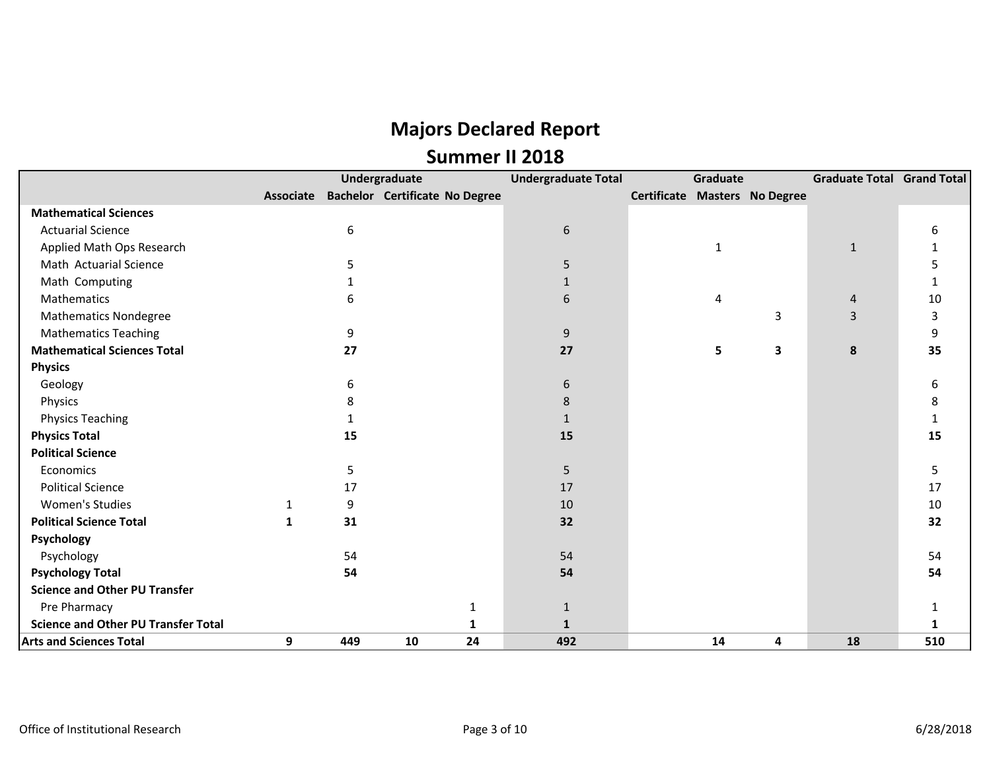|                                            |           |     | Undergraduate                         | <b>Undergraduate Total</b> | Graduate |                               | <b>Graduate Total Grand Total</b> |     |
|--------------------------------------------|-----------|-----|---------------------------------------|----------------------------|----------|-------------------------------|-----------------------------------|-----|
|                                            | Associate |     | <b>Bachelor Certificate No Degree</b> |                            |          | Certificate Masters No Degree |                                   |     |
| <b>Mathematical Sciences</b>               |           |     |                                       |                            |          |                               |                                   |     |
| <b>Actuarial Science</b>                   |           | 6   |                                       | $6\phantom{a}$             |          |                               |                                   |     |
| Applied Math Ops Research                  |           |     |                                       |                            | 1        |                               | $\mathbf{1}$                      |     |
| Math Actuarial Science                     |           | 5.  |                                       | 5                          |          |                               |                                   |     |
| Math Computing                             |           |     |                                       | $\mathbf{1}$               |          |                               |                                   |     |
| Mathematics                                |           | 6   |                                       | 6                          | 4        |                               | 4                                 | 10  |
| <b>Mathematics Nondegree</b>               |           |     |                                       |                            |          | 3                             | 3                                 | 3   |
| <b>Mathematics Teaching</b>                |           | 9   |                                       | 9                          |          |                               |                                   | 9   |
| <b>Mathematical Sciences Total</b>         |           | 27  |                                       | 27                         | 5        | 3                             | 8                                 | 35  |
| <b>Physics</b>                             |           |     |                                       |                            |          |                               |                                   |     |
| Geology                                    |           | 6   |                                       | 6                          |          |                               |                                   | 6   |
| Physics                                    |           | 8   |                                       | 8                          |          |                               |                                   | 8   |
| <b>Physics Teaching</b>                    |           |     |                                       | 1                          |          |                               |                                   |     |
| <b>Physics Total</b>                       |           | 15  |                                       | 15                         |          |                               |                                   | 15  |
| <b>Political Science</b>                   |           |     |                                       |                            |          |                               |                                   |     |
| Economics                                  |           | 5   |                                       | 5                          |          |                               |                                   | 5   |
| <b>Political Science</b>                   |           | 17  |                                       | 17                         |          |                               |                                   | 17  |
| <b>Women's Studies</b>                     | 1         | 9   |                                       | 10                         |          |                               |                                   | 10  |
| <b>Political Science Total</b>             | 1         | 31  |                                       | 32                         |          |                               |                                   | 32  |
| Psychology                                 |           |     |                                       |                            |          |                               |                                   |     |
| Psychology                                 |           | 54  |                                       | 54                         |          |                               |                                   | 54  |
| <b>Psychology Total</b>                    |           | 54  |                                       | 54                         |          |                               |                                   | 54  |
| <b>Science and Other PU Transfer</b>       |           |     |                                       |                            |          |                               |                                   |     |
| Pre Pharmacy                               |           |     | $\mathbf{1}$                          | $\mathbf{1}$               |          |                               |                                   |     |
| <b>Science and Other PU Transfer Total</b> |           |     | 1                                     | $\mathbf{1}$               |          |                               |                                   |     |
| <b>Arts and Sciences Total</b>             | 9         | 449 | 24<br>10                              | 492                        | 14       | 4                             | 18                                | 510 |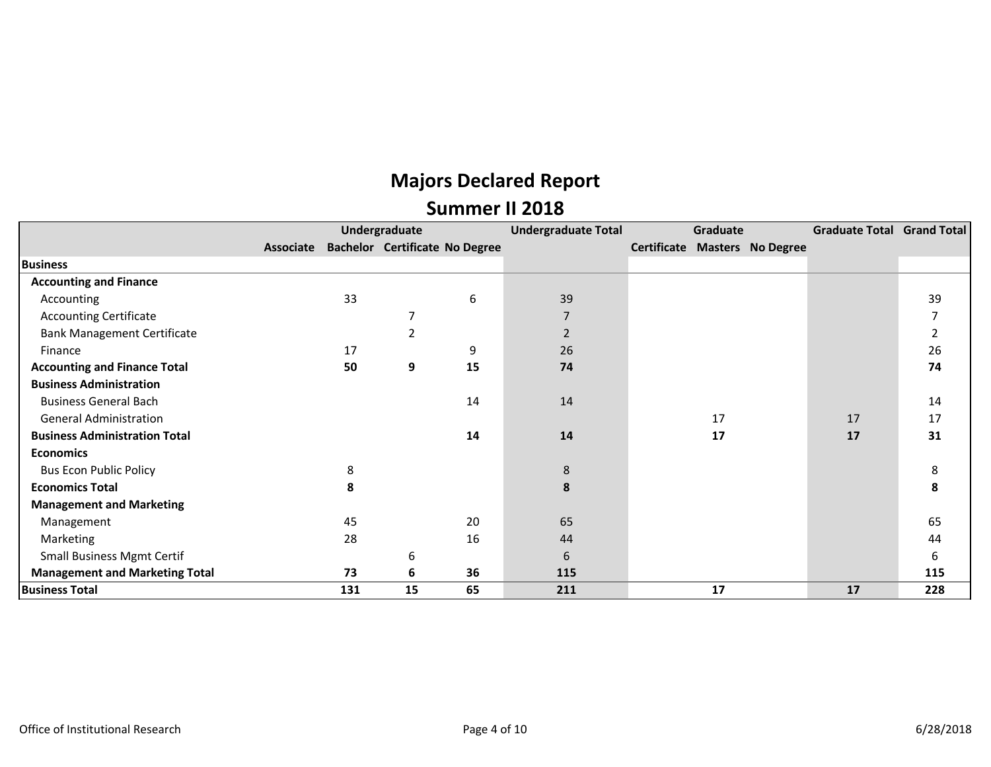|                                       |           |     | Undergraduate                         |    | <b>Undergraduate Total</b> | Graduate |                               | Graduate Total Grand Total |                |
|---------------------------------------|-----------|-----|---------------------------------------|----|----------------------------|----------|-------------------------------|----------------------------|----------------|
|                                       | Associate |     | <b>Bachelor Certificate No Degree</b> |    |                            |          | Certificate Masters No Degree |                            |                |
| <b>Business</b>                       |           |     |                                       |    |                            |          |                               |                            |                |
| <b>Accounting and Finance</b>         |           |     |                                       |    |                            |          |                               |                            |                |
| Accounting                            |           | 33  |                                       | 6  | 39                         |          |                               |                            | 39             |
| <b>Accounting Certificate</b>         |           |     | 7                                     |    | 7                          |          |                               |                            | 7              |
| <b>Bank Management Certificate</b>    |           |     | $\overline{2}$                        |    | $\overline{2}$             |          |                               |                            | $\overline{2}$ |
| Finance                               |           | 17  |                                       | 9  | 26                         |          |                               |                            | 26             |
| <b>Accounting and Finance Total</b>   |           | 50  | 9                                     | 15 | 74                         |          |                               |                            | 74             |
| <b>Business Administration</b>        |           |     |                                       |    |                            |          |                               |                            |                |
| <b>Business General Bach</b>          |           |     |                                       | 14 | 14                         |          |                               |                            | 14             |
| <b>General Administration</b>         |           |     |                                       |    |                            | 17       |                               | 17                         | 17             |
| <b>Business Administration Total</b>  |           |     |                                       | 14 | 14                         | 17       |                               | 17                         | 31             |
| <b>Economics</b>                      |           |     |                                       |    |                            |          |                               |                            |                |
| <b>Bus Econ Public Policy</b>         |           | 8   |                                       |    | 8                          |          |                               |                            | 8              |
| <b>Economics Total</b>                |           | 8   |                                       |    | 8                          |          |                               |                            | 8              |
| <b>Management and Marketing</b>       |           |     |                                       |    |                            |          |                               |                            |                |
| Management                            |           | 45  |                                       | 20 | 65                         |          |                               |                            | 65             |
| Marketing                             |           | 28  |                                       | 16 | 44                         |          |                               |                            | 44             |
| <b>Small Business Mgmt Certif</b>     |           |     | 6                                     |    | 6                          |          |                               |                            | 6              |
| <b>Management and Marketing Total</b> |           | 73  | 6                                     | 36 | 115                        |          |                               |                            | 115            |
| <b>Business Total</b>                 |           | 131 | 15                                    | 65 | 211                        | 17       |                               | 17                         | 228            |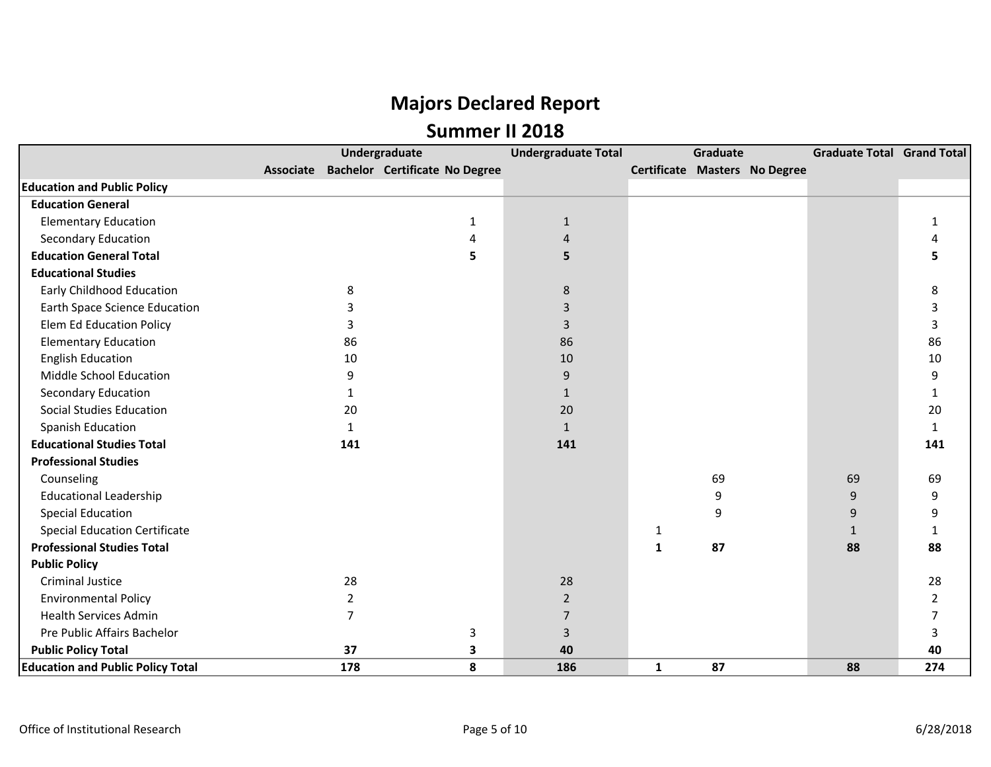|                                          |                | Undergraduate                            | <b>Undergraduate Total</b> |              | Graduate |                               | Graduate Total Grand Total |                |
|------------------------------------------|----------------|------------------------------------------|----------------------------|--------------|----------|-------------------------------|----------------------------|----------------|
|                                          |                | Associate Bachelor Certificate No Degree |                            |              |          | Certificate Masters No Degree |                            |                |
| <b>Education and Public Policy</b>       |                |                                          |                            |              |          |                               |                            |                |
| <b>Education General</b>                 |                |                                          |                            |              |          |                               |                            |                |
| <b>Elementary Education</b>              |                | 1                                        | $\mathbf{1}$               |              |          |                               |                            | $\mathbf{1}$   |
| <b>Secondary Education</b>               |                | 4                                        | 4                          |              |          |                               |                            | Δ              |
| <b>Education General Total</b>           |                | 5                                        | 5                          |              |          |                               |                            |                |
| <b>Educational Studies</b>               |                |                                          |                            |              |          |                               |                            |                |
| Early Childhood Education                | 8              |                                          | $\,8\,$                    |              |          |                               |                            | 8              |
| <b>Earth Space Science Education</b>     |                |                                          | 3                          |              |          |                               |                            |                |
| <b>Elem Ed Education Policy</b>          | 3              |                                          | 3                          |              |          |                               |                            | 3              |
| <b>Elementary Education</b>              | 86             |                                          | 86                         |              |          |                               |                            | 86             |
| <b>English Education</b>                 | 10             |                                          | 10                         |              |          |                               |                            | 10             |
| Middle School Education                  | 9              |                                          | $9\,$                      |              |          |                               |                            | 9              |
| <b>Secondary Education</b>               | 1              |                                          | $\mathbf{1}$               |              |          |                               |                            | $\mathbf{1}$   |
| <b>Social Studies Education</b>          | 20             |                                          | 20                         |              |          |                               |                            | 20             |
| Spanish Education                        | $\mathbf{1}$   |                                          | $\mathbf{1}$               |              |          |                               |                            | $\mathbf{1}$   |
| <b>Educational Studies Total</b>         | 141            |                                          | 141                        |              |          |                               |                            | 141            |
| <b>Professional Studies</b>              |                |                                          |                            |              |          |                               |                            |                |
| Counseling                               |                |                                          |                            |              | 69       |                               | 69                         | 69             |
| <b>Educational Leadership</b>            |                |                                          |                            |              | 9        |                               | 9                          | 9              |
| <b>Special Education</b>                 |                |                                          |                            |              | 9        |                               | 9                          | 9              |
| <b>Special Education Certificate</b>     |                |                                          |                            | 1            |          |                               | $\mathbf{1}$               | $\mathbf{1}$   |
| <b>Professional Studies Total</b>        |                |                                          |                            | $\mathbf{1}$ | 87       |                               | 88                         | 88             |
| <b>Public Policy</b>                     |                |                                          |                            |              |          |                               |                            |                |
| <b>Criminal Justice</b>                  | 28             |                                          | 28                         |              |          |                               |                            | 28             |
| <b>Environmental Policy</b>              | $\overline{2}$ |                                          | $\overline{2}$             |              |          |                               |                            | $\overline{2}$ |
| <b>Health Services Admin</b>             | $\overline{7}$ |                                          | $\overline{7}$             |              |          |                               |                            | 7              |
| Pre Public Affairs Bachelor              |                | 3                                        | 3                          |              |          |                               |                            | 3              |
| <b>Public Policy Total</b>               | 37             | 3                                        | 40                         |              |          |                               |                            | 40             |
| <b>Education and Public Policy Total</b> | 178            | 8                                        | 186                        | $\mathbf{1}$ | 87       |                               | 88                         | 274            |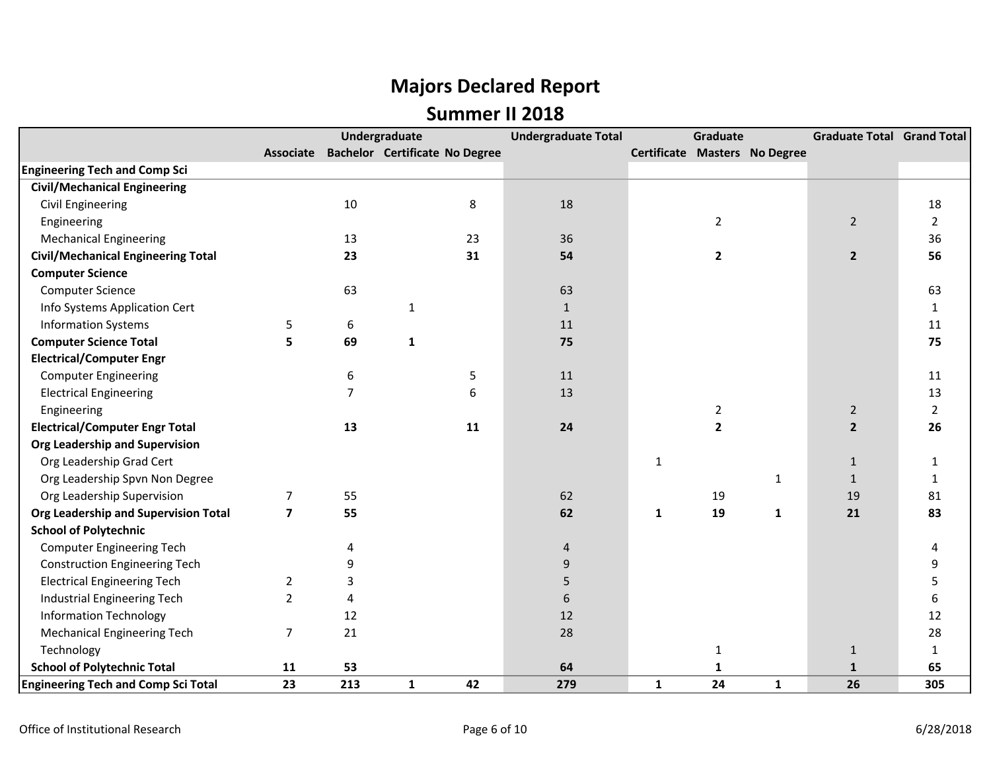|                                            |                |     | <b>Undergraduate</b>                  | <b>Undergraduate Total</b> |              | Graduate       |                               | <b>Graduate Total Grand Total</b> |                |
|--------------------------------------------|----------------|-----|---------------------------------------|----------------------------|--------------|----------------|-------------------------------|-----------------------------------|----------------|
|                                            | Associate      |     | <b>Bachelor Certificate No Degree</b> |                            |              |                | Certificate Masters No Degree |                                   |                |
| <b>Engineering Tech and Comp Sci</b>       |                |     |                                       |                            |              |                |                               |                                   |                |
| <b>Civil/Mechanical Engineering</b>        |                |     |                                       |                            |              |                |                               |                                   |                |
| <b>Civil Engineering</b>                   |                | 10  | 8                                     | 18                         |              |                |                               |                                   | 18             |
| Engineering                                |                |     |                                       |                            |              | $\overline{2}$ |                               | $\overline{2}$                    | $\overline{2}$ |
| <b>Mechanical Engineering</b>              |                | 13  | 23                                    | 36                         |              |                |                               |                                   | 36             |
| <b>Civil/Mechanical Engineering Total</b>  |                | 23  | 31                                    | 54                         |              | $\mathbf{2}$   |                               | $\mathbf{2}$                      | 56             |
| <b>Computer Science</b>                    |                |     |                                       |                            |              |                |                               |                                   |                |
| <b>Computer Science</b>                    |                | 63  |                                       | 63                         |              |                |                               |                                   | 63             |
| Info Systems Application Cert              |                |     | $\mathbf{1}$                          | $\mathbf{1}$               |              |                |                               |                                   | $\mathbf{1}$   |
| <b>Information Systems</b>                 | 5              | 6   |                                       | 11                         |              |                |                               |                                   | 11             |
| <b>Computer Science Total</b>              | 5              | 69  | $\mathbf{1}$                          | 75                         |              |                |                               |                                   | 75             |
| <b>Electrical/Computer Engr</b>            |                |     |                                       |                            |              |                |                               |                                   |                |
| <b>Computer Engineering</b>                |                | 6   | 5                                     | 11                         |              |                |                               |                                   | 11             |
| <b>Electrical Engineering</b>              |                | 7   | 6                                     | 13                         |              |                |                               |                                   | 13             |
| Engineering                                |                |     |                                       |                            |              | $\overline{2}$ |                               | $\overline{2}$                    | $\overline{2}$ |
| <b>Electrical/Computer Engr Total</b>      |                | 13  | 11                                    | 24                         |              | $\overline{2}$ |                               | $\overline{2}$                    | 26             |
| Org Leadership and Supervision             |                |     |                                       |                            |              |                |                               |                                   |                |
| Org Leadership Grad Cert                   |                |     |                                       |                            | 1            |                |                               | $\mathbf{1}$                      | 1              |
| Org Leadership Spvn Non Degree             |                |     |                                       |                            |              |                | 1                             | $\mathbf{1}$                      | $\mathbf{1}$   |
| Org Leadership Supervision                 | $\overline{7}$ | 55  |                                       | 62                         |              | 19             |                               | 19                                | 81             |
| Org Leadership and Supervision Total       | $\overline{7}$ | 55  |                                       | 62                         | 1            | 19             | $\mathbf{1}$                  | 21                                | 83             |
| <b>School of Polytechnic</b>               |                |     |                                       |                            |              |                |                               |                                   |                |
| <b>Computer Engineering Tech</b>           |                | 4   |                                       | 4                          |              |                |                               |                                   | 4              |
| <b>Construction Engineering Tech</b>       |                | 9   |                                       | 9                          |              |                |                               |                                   | 9              |
| <b>Electrical Engineering Tech</b>         | $\overline{2}$ | 3   |                                       | 5                          |              |                |                               |                                   | 5              |
| Industrial Engineering Tech                | $\overline{2}$ | 4   |                                       | 6                          |              |                |                               |                                   | 6              |
| <b>Information Technology</b>              |                | 12  |                                       | 12                         |              |                |                               |                                   | 12             |
| <b>Mechanical Engineering Tech</b>         | $\overline{7}$ | 21  |                                       | 28                         |              |                |                               |                                   | 28             |
| Technology                                 |                |     |                                       |                            |              | $\mathbf{1}$   |                               | $\mathbf{1}$                      | $\mathbf{1}$   |
| <b>School of Polytechnic Total</b>         | 11             | 53  |                                       | 64                         |              | $\mathbf{1}$   |                               | $\mathbf{1}$                      | 65             |
| <b>Engineering Tech and Comp Sci Total</b> | 23             | 213 | 42<br>$\mathbf{1}$                    | 279                        | $\mathbf{1}$ | 24             | $\mathbf{1}$                  | 26                                | 305            |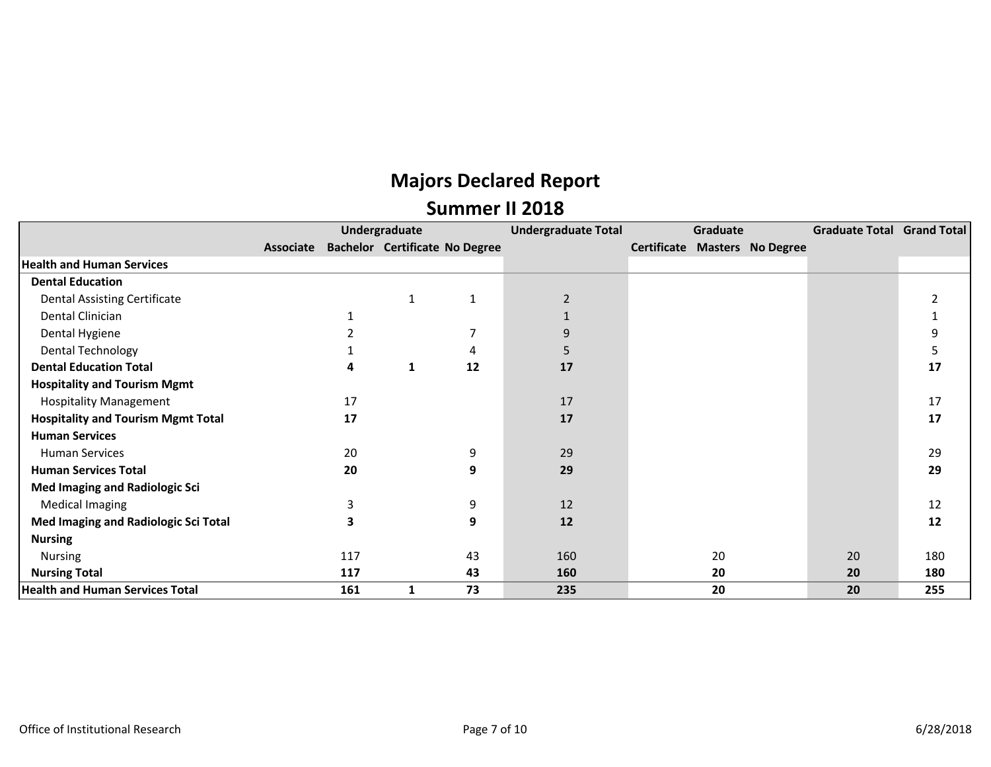|                                           |           |     | Undergraduate                         |              | <b>Undergraduate Total</b> | Graduate |                                      | Graduate Total Grand Total |     |
|-------------------------------------------|-----------|-----|---------------------------------------|--------------|----------------------------|----------|--------------------------------------|----------------------------|-----|
|                                           | Associate |     | <b>Bachelor Certificate No Degree</b> |              |                            |          | <b>Certificate Masters No Degree</b> |                            |     |
| <b>Health and Human Services</b>          |           |     |                                       |              |                            |          |                                      |                            |     |
| <b>Dental Education</b>                   |           |     |                                       |              |                            |          |                                      |                            |     |
| <b>Dental Assisting Certificate</b>       |           |     | 1                                     | $\mathbf{1}$ | $\overline{2}$             |          |                                      |                            |     |
| Dental Clinician                          |           |     |                                       |              |                            |          |                                      |                            |     |
| Dental Hygiene                            |           |     |                                       |              | 9                          |          |                                      |                            | 9   |
| Dental Technology                         |           |     |                                       | 4            | 5                          |          |                                      |                            | 5   |
| <b>Dental Education Total</b>             |           | 4   | 1                                     | 12           | 17                         |          |                                      |                            | 17  |
| <b>Hospitality and Tourism Mgmt</b>       |           |     |                                       |              |                            |          |                                      |                            |     |
| <b>Hospitality Management</b>             |           | 17  |                                       |              | 17                         |          |                                      |                            | 17  |
| <b>Hospitality and Tourism Mgmt Total</b> |           | 17  |                                       |              | 17                         |          |                                      |                            | 17  |
| <b>Human Services</b>                     |           |     |                                       |              |                            |          |                                      |                            |     |
| Human Services                            |           | 20  |                                       | 9            | 29                         |          |                                      |                            | 29  |
| <b>Human Services Total</b>               |           | 20  |                                       | 9            | 29                         |          |                                      |                            | 29  |
| <b>Med Imaging and Radiologic Sci</b>     |           |     |                                       |              |                            |          |                                      |                            |     |
| <b>Medical Imaging</b>                    |           | 3   |                                       | 9            | 12                         |          |                                      |                            | 12  |
| Med Imaging and Radiologic Sci Total      |           | 3   |                                       | 9            | 12                         |          |                                      |                            | 12  |
| <b>Nursing</b>                            |           |     |                                       |              |                            |          |                                      |                            |     |
| Nursing                                   |           | 117 |                                       | 43           | 160                        | 20       |                                      | 20                         | 180 |
| <b>Nursing Total</b>                      |           | 117 |                                       | 43           | 160                        | 20       |                                      | 20                         | 180 |
| <b>Health and Human Services Total</b>    |           | 161 | 1                                     | 73           | 235                        | 20       |                                      | 20                         | 255 |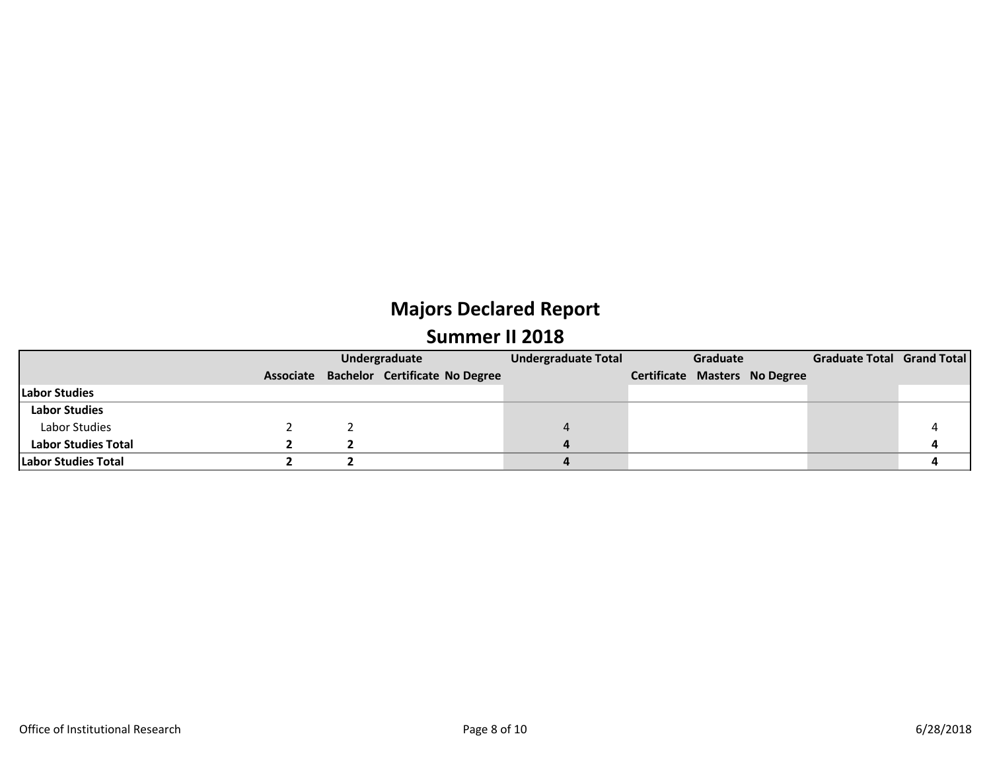|                            |  | Undergraduate                            | <b>Undergraduate Total</b> | Graduate |                                      | Graduate Total Grand Total |  |
|----------------------------|--|------------------------------------------|----------------------------|----------|--------------------------------------|----------------------------|--|
|                            |  | Associate Bachelor Certificate No Degree |                            |          | <b>Certificate Masters No Degree</b> |                            |  |
| <b>Labor Studies</b>       |  |                                          |                            |          |                                      |                            |  |
| <b>Labor Studies</b>       |  |                                          |                            |          |                                      |                            |  |
| Labor Studies              |  |                                          |                            |          |                                      |                            |  |
| <b>Labor Studies Total</b> |  |                                          |                            |          |                                      |                            |  |
| Labor Studies Total        |  |                                          |                            |          |                                      |                            |  |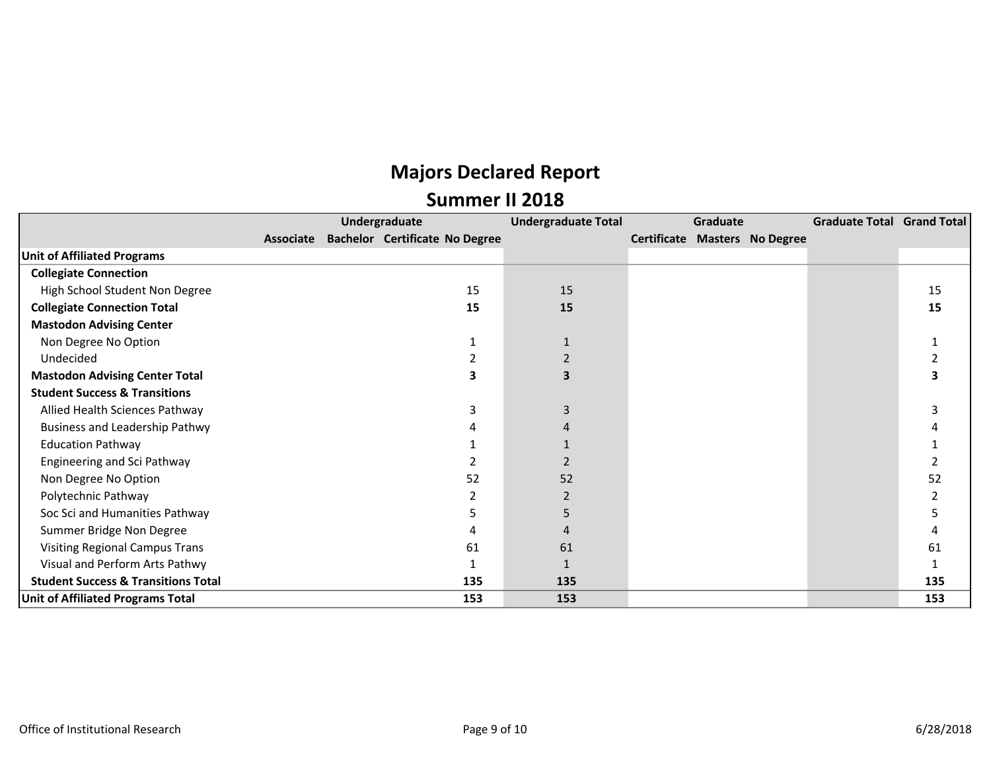|                                                |           | Undergraduate                         | <b>Undergraduate Total</b> | Graduate |  |                                      | Graduate Total Grand Total |     |
|------------------------------------------------|-----------|---------------------------------------|----------------------------|----------|--|--------------------------------------|----------------------------|-----|
|                                                | Associate | <b>Bachelor Certificate No Degree</b> |                            |          |  | <b>Certificate Masters No Degree</b> |                            |     |
| <b>Unit of Affiliated Programs</b>             |           |                                       |                            |          |  |                                      |                            |     |
| <b>Collegiate Connection</b>                   |           |                                       |                            |          |  |                                      |                            |     |
| High School Student Non Degree                 |           | 15                                    | 15                         |          |  |                                      |                            | 15  |
| <b>Collegiate Connection Total</b>             |           | 15                                    | 15                         |          |  |                                      |                            | 15  |
| <b>Mastodon Advising Center</b>                |           |                                       |                            |          |  |                                      |                            |     |
| Non Degree No Option                           |           |                                       |                            |          |  |                                      |                            |     |
| Undecided                                      |           |                                       |                            |          |  |                                      |                            |     |
| <b>Mastodon Advising Center Total</b>          |           | 3                                     |                            |          |  |                                      |                            |     |
| <b>Student Success &amp; Transitions</b>       |           |                                       |                            |          |  |                                      |                            |     |
| Allied Health Sciences Pathway                 |           | ς                                     | 3                          |          |  |                                      |                            |     |
| <b>Business and Leadership Pathwy</b>          |           |                                       |                            |          |  |                                      |                            |     |
| <b>Education Pathway</b>                       |           |                                       |                            |          |  |                                      |                            |     |
| Engineering and Sci Pathway                    |           |                                       | 2                          |          |  |                                      |                            |     |
| Non Degree No Option                           |           | 52                                    | 52                         |          |  |                                      |                            | 52  |
| Polytechnic Pathway                            |           |                                       |                            |          |  |                                      |                            |     |
| Soc Sci and Humanities Pathway                 |           |                                       | 5                          |          |  |                                      |                            |     |
| Summer Bridge Non Degree                       |           |                                       |                            |          |  |                                      |                            |     |
| Visiting Regional Campus Trans                 |           | 61                                    | 61                         |          |  |                                      |                            | 61  |
| Visual and Perform Arts Pathwy                 |           |                                       |                            |          |  |                                      |                            |     |
| <b>Student Success &amp; Transitions Total</b> |           | 135                                   | 135                        |          |  |                                      |                            | 135 |
| Unit of Affiliated Programs Total              |           | 153                                   | 153                        |          |  |                                      |                            | 153 |